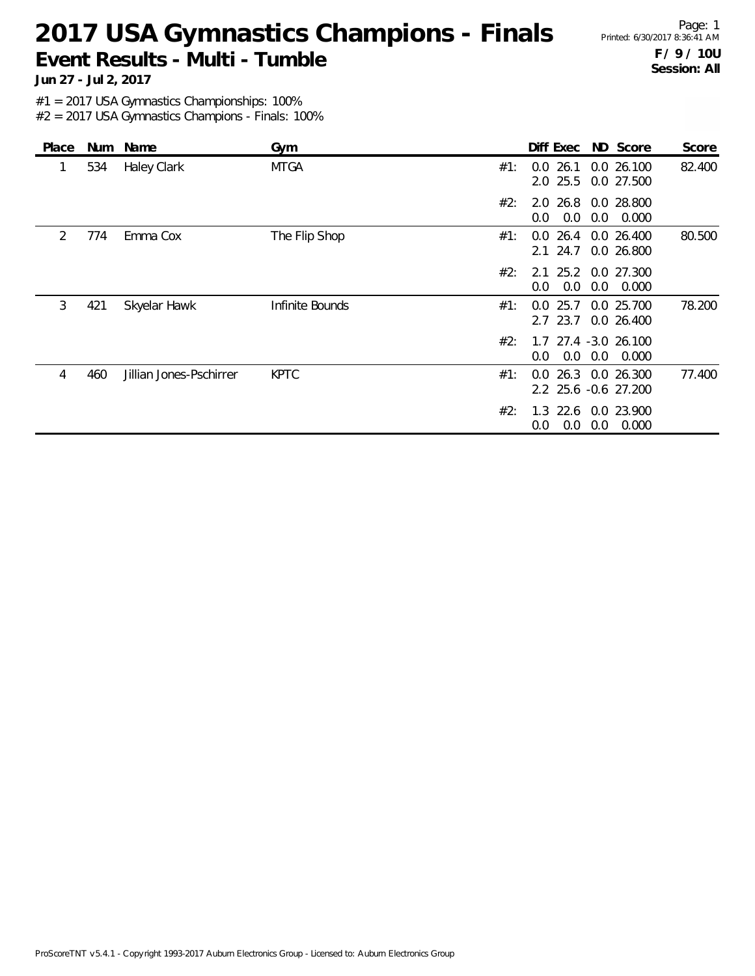# 2017 USA Gymnastics Champions - Finals Printed: 6/30/2017 8:36:41 AM **Event Results - Multi - Tumble**

Page: 1 **F / 9 / 10U Session: All**

**Jun 27 - Jul 2, 2017**

#1 = 2017 USA Gymnastics Championships: 100%

| Place | Num | Name                    | Gym             |     |                            | Diff Exec ND Score                          | Score  |
|-------|-----|-------------------------|-----------------|-----|----------------------------|---------------------------------------------|--------|
| 1     | 534 | <b>Haley Clark</b>      | <b>MTGA</b>     | #1: | 26.1<br>0.0<br>$2.0$ 25.5  | 0.0 26.100<br>0.0 27.500                    | 82.400 |
|       |     |                         |                 | #2: | 0.0<br>0.0                 | 2.0 26.8 0.0 28.800<br>0.0<br>0.000         |        |
| 2     | 774 | Emma Cox                | The Flip Shop   | #1: | $0.0$ 26.4<br>$2.1$ 24.7   | 0.0 26.400<br>0.0 26.800                    | 80.500 |
|       |     |                         |                 | #2: | 2.1<br>0.0<br>0.0          | 25.2 0.0 27.300<br>0.0<br>0.000             |        |
| 3     | 421 | Skyelar Hawk            | Infinite Bounds | #1: | 25.7<br>0.0<br>23.7<br>2.7 | 0.0 25.700<br>0.0 26.400                    | 78.200 |
|       |     |                         |                 | #2: | $0.0^{\circ}$              | 1.7 27.4 -3.0 26.100<br>$0.0$ $0.0$ $0.000$ |        |
| 4     | 460 | Jillian Jones-Pschirrer | <b>KPTC</b>     | #1: | 0.0                        | 26.3 0.0 26.300<br>2.2 25.6 -0.6 27.200     | 77.400 |
|       |     |                         |                 | #2: | $1.3$ 22.6<br>0.0<br>0.0   | 0.0 23.900<br>0.0<br>0.000                  |        |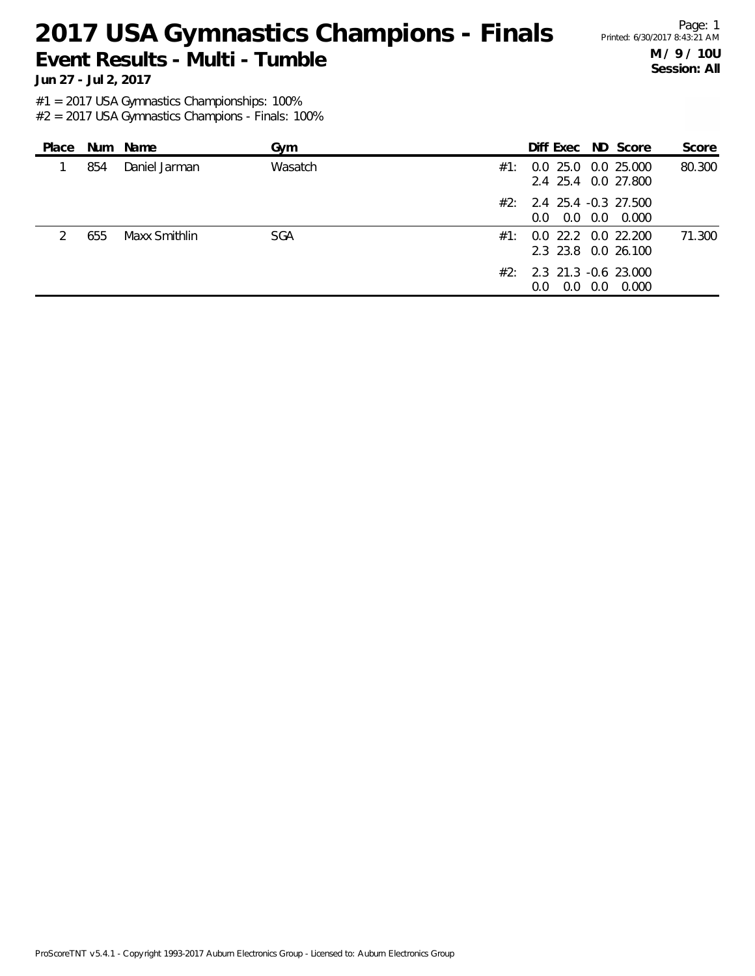# 2017 USA Gymnastics Champions - Finals Printed: 6/30/2017 8:43:21 AM **Event Results - Multi - Tumble**

Page: 1 **M / 9 / 10U Session: All**

**Jun 27 - Jul 2, 2017**

#1 = 2017 USA Gymnastics Championships: 100%

| Place |     | Num Name      | Gym        |     | Diff Exec ND Score                                   |     |       | Score  |
|-------|-----|---------------|------------|-----|------------------------------------------------------|-----|-------|--------|
|       | 854 | Daniel Jarman | Wasatch    | #1: | 0.0 25.0 0.0 25.000<br>2.4 25.4 0.0 27.800           |     |       | 80.300 |
|       |     |               |            |     | $\#2$ : 2.4 25.4 -0.3 27.500<br>0.0 0.0<br>$0.0 -$   |     | 0.000 |        |
|       | 655 | Maxx Smithlin | <b>SGA</b> |     | #1: 0.0 22.2 0.0 22.200<br>2.3 23.8 0.0 26.100       |     |       | 71.300 |
|       |     |               |            |     | $\#2$ : 2.3 21.3 -0.6 23.000<br>0.0<br>$0.0^{\circ}$ | 0.0 | 0.000 |        |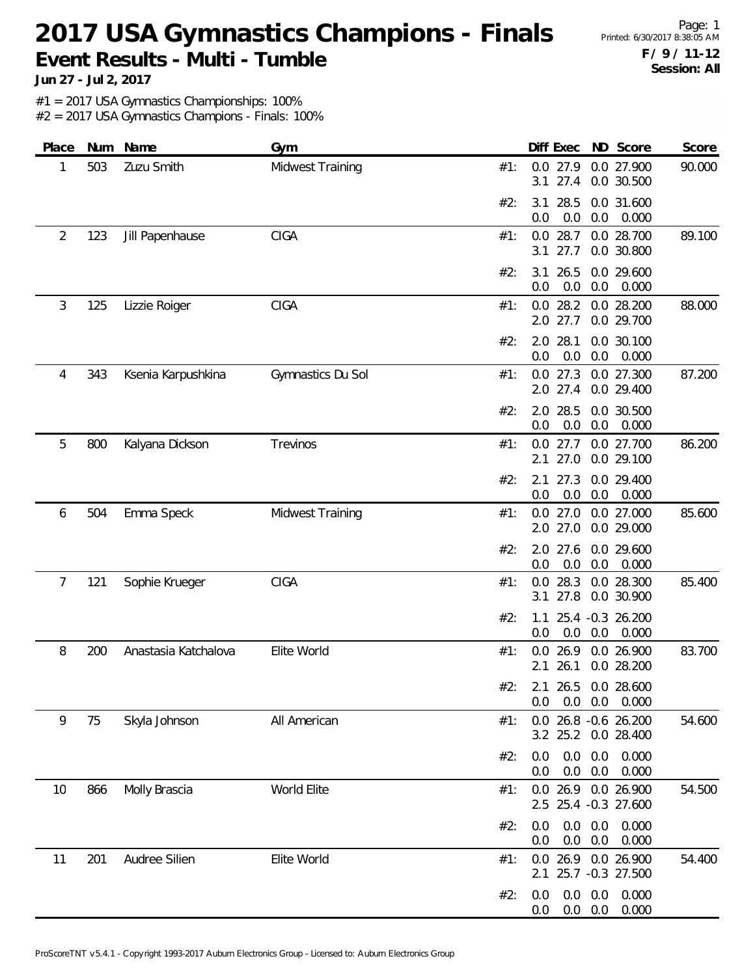# 2017 USA Gymnastics Champions - Finals Printed: 6/30/2017 8:38:05 AM **Event Results - Multi - Tumble**

Page: 1 **F / 9 / 11-12 Session: All**

**Jun 27 - Jul 2, 2017**

#1 = 2017 USA Gymnastics Championships: 100%

| Place | Num | Name                 | Gym               |     | Diff Exec                  |                                  |     | ND Score                                    | Score  |
|-------|-----|----------------------|-------------------|-----|----------------------------|----------------------------------|-----|---------------------------------------------|--------|
| 1     | 503 | Zuzu Smith           | Midwest Training  | #1: | 0.0<br>3.1                 | 27.9<br>27.4                     |     | 0.0 27.900<br>0.0 30.500                    | 90.000 |
|       |     |                      |                   | #2: | 3.1<br>0.0                 | 28.5<br>0.0                      | 0.0 | 0.0 31.600<br>0.000                         |        |
| 2     | 123 | Jill Papenhause      | <b>CIGA</b>       | #1: | $0.0$ 28.7<br>3.1          | 27.7                             |     | 0.0 28.700<br>0.0 30.800                    | 89.100 |
|       |     |                      |                   | #2: | 3.1<br>0.0                 | 26.5<br>0.0                      | 0.0 | 0.0 29.600<br>0.000                         |        |
| 3     | 125 | Lizzie Roiger        | <b>CIGA</b>       | #1: | 0.0<br>2.0 27.7            | 28.2                             |     | 0.0 28.200<br>0.0 29.700                    | 88.000 |
|       |     |                      |                   | #2: | 2.0<br>0.0                 | 28.1<br>0.0                      | 0.0 | 0.0 30.100<br>0.000                         |        |
| 4     | 343 | Ksenia Karpushkina   | Gymnastics Du Sol | #1: | $0.0$ 27.3<br>2.0 27.4     |                                  |     | 0.0 27.300<br>0.0 29.400                    | 87.200 |
|       |     |                      |                   | #2: | 2.0<br>0.0                 | 28.5<br>0.0                      | 0.0 | 0.0 30.500<br>0.000                         |        |
| 5     | 800 | Kalyana Dickson      | Trevinos          | #1: | 0.0<br>2.1                 | 27.7<br>27.0                     |     | 0.0 27.700<br>0.0 29.100                    | 86.200 |
|       |     |                      |                   | #2: | 2.1<br>0.0                 | 27.3<br>0.0                      | 0.0 | 0.0 29.400<br>0.000                         |        |
| 6     | 504 | Emma Speck           | Midwest Training  | #1: | $0.0$ 27.0<br>2.0 27.0     |                                  |     | 0.0 27.000<br>0.0 29.000                    | 85.600 |
|       |     |                      |                   | #2: | 2.0<br>0.0                 | 27.6<br>0.0                      | 0.0 | 0.0 29.600<br>0.000                         |        |
| 7     | 121 | Sophie Krueger       | <b>CIGA</b>       | #1: | 0.0<br>3.1                 | 28.3<br>27.8                     |     | 0.0 28.300<br>0.0 30.900                    | 85.400 |
|       |     |                      |                   | #2: | 1.1<br>0.0                 | 0.0                              | 0.0 | 25.4 -0.3 26.200<br>0.000                   |        |
| 8     | 200 | Anastasia Katchalova | Elite World       | #1: | 0.0<br>2.1                 | 26.9<br>26.1                     |     | 0.0 26.900<br>0.0 28.200                    | 83.700 |
|       |     |                      |                   | #2∙ | 2.1 26.5 0.0 28.600<br>0.0 |                                  |     | $0.0$ $0.0$ $0.000$                         |        |
| 9     | 75  | Skyla Johnson        | All American      | #1: |                            |                                  |     | 0.0 26.8 -0.6 26.200<br>3.2 25.2 0.0 28.400 | 54.600 |
|       |     |                      |                   | #2: | 0.0<br>0.0                 | $0.0\quad 0.0$<br>$0.0\quad 0.0$ |     | 0.000<br>0.000                              |        |
| 10    | 866 | Molly Brascia        | World Elite       | #1: |                            |                                  |     | 0.0 26.9 0.0 26.900<br>2.5 25.4 -0.3 27.600 | 54.500 |
|       |     |                      |                   | #2: | 0.0<br>0.0                 | $0.0\quad 0.0$<br>$0.0\quad 0.0$ |     | 0.000<br>0.000                              |        |
| 11    | 201 | Audree Silien        | Elite World       | #1: |                            |                                  |     | 0.0 26.9 0.0 26.900<br>2.1 25.7 -0.3 27.500 | 54.400 |
|       |     |                      |                   | #2: | 0.0<br>0.0                 | 0.0<br>$0.0\quad 0.0$            | 0.0 | 0.000<br>0.000                              |        |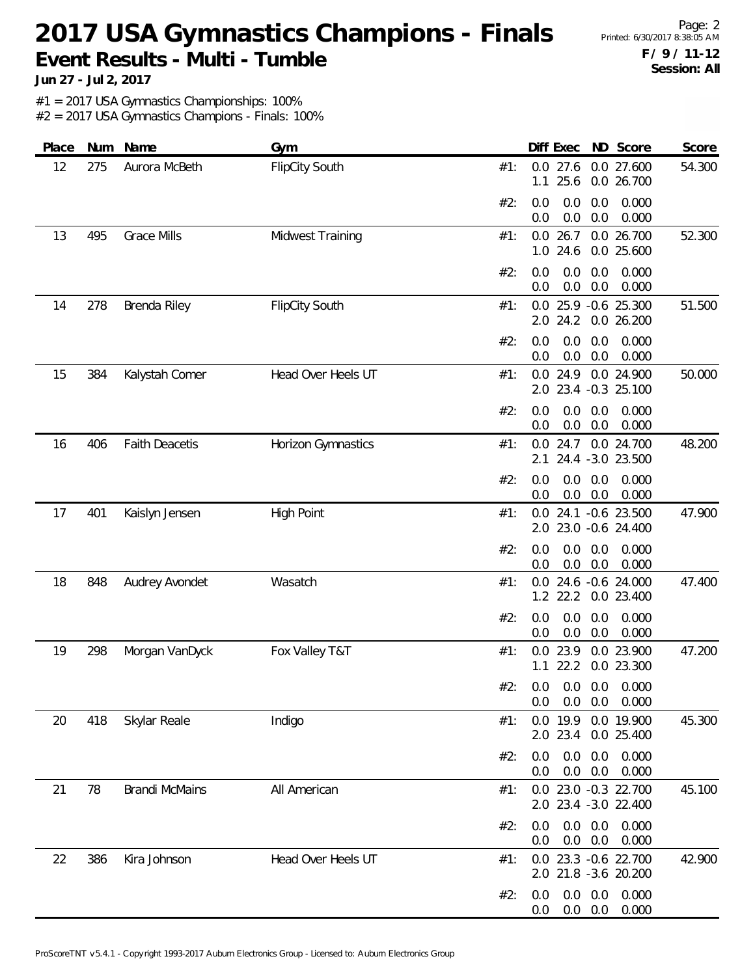# 2017 USA Gymnastics Champions - Finals Printed: 6/30/2017 8:38:05 AM **Event Results - Multi - Tumble**

Page: 2 **F / 9 / 11-12 Session: All**

**Jun 27 - Jul 2, 2017**

#1 = 2017 USA Gymnastics Championships: 100%

| Place | Num | Name                  | Gym                   | Diff Exec<br>ND Score<br>Score                                          |
|-------|-----|-----------------------|-----------------------|-------------------------------------------------------------------------|
| 12    | 275 | Aurora McBeth         | <b>FlipCity South</b> | 27.6<br>0.0 27.600<br>54.300<br>#1:<br>0.0<br>25.6<br>0.0 26.700<br>1.1 |
|       |     |                       |                       | 0.000<br>#2:<br>0.0<br>0.0<br>0.0<br>0.0<br>0.0<br>0.000<br>0.0         |
| 13    | 495 | <b>Grace Mills</b>    | Midwest Training      | 26.7<br>0.0 26.700<br>0.0<br>52.300<br>#1:<br>1.0 24.6<br>0.0 25.600    |
|       |     |                       |                       | #2:<br>0.0<br>0.0<br>0.000<br>0.0<br>0.0<br>0.0<br>0.0<br>0.000         |
| 14    | 278 | Brenda Riley          | <b>FlipCity South</b> | 51.500<br>0.0 25.9 -0.6 25.300<br>#1:<br>24.2<br>2.0<br>0.0 26.200      |
|       |     |                       |                       | 0.0<br>#2:<br>0.0<br>0.0<br>0.000<br>0.0<br>0.0<br>0.0<br>0.000         |
| 15    | 384 | Kalystah Comer        | Head Over Heels UT    | $0.0$ 24.9<br>0.0 24.900<br>50.000<br>#1:<br>2.0 23.4 -0.3 25.100       |
|       |     |                       |                       | 0.000<br>#2:<br>0.0<br>0.0<br>0.0<br>0.0<br>0.0<br>0.000<br>0.0         |
| 16    | 406 | <b>Faith Deacetis</b> | Horizon Gymnastics    | 24.7<br>0.0 24.700<br>48.200<br>#1:<br>0.0<br>24.4 -3.0 23.500<br>2.1   |
|       |     |                       |                       | #2:<br>0.0<br>0.0<br>0.0<br>0.000<br>$0.0\,$<br>0.0<br>0.0<br>0.000     |
| 17    | 401 | Kaislyn Jensen        | <b>High Point</b>     | 24.1 -0.6 23.500<br>47.900<br>#1:<br>0.0<br>23.0 -0.6 24.400<br>2.0     |
|       |     |                       |                       | #2:<br>0.0<br>0.0<br>0.0<br>0.000<br>0.0<br>0.0<br>0.000<br>0.0         |
| 18    | 848 | Audrey Avondet        | Wasatch               | 0.0 24.6 -0.6 24.000<br>47.400<br>#1:<br>$1.2$ 22.2<br>0.0 23.400       |
|       |     |                       |                       | 0.0<br>0.000<br>#2:<br>0.0<br>0.0<br>0.0<br>0.0<br>0.000<br>0.0         |
| 19    | 298 | Morgan VanDyck        | Fox Valley T&T        | 23.9<br>0.0 23.900<br>47.200<br>#1:<br>0.0<br>22.2<br>0.0 23.300<br>1.1 |
|       |     |                       |                       | #2: 0.0 0.0 0.0 0.000<br>0.000<br>0.0<br>0.0<br>0.0                     |
| 20    | 418 | Skylar Reale          | Indigo                | 0.0 19.9<br>0.0 19.900<br>45.300<br>#1:<br>2.0 23.4<br>0.0 25.400       |
|       |     |                       |                       | #2:<br>0.0<br>0.0<br>0.0<br>0.000<br>$0.0\quad 0.0$<br>0.000<br>0.0     |
| 21    | 78  | <b>Brandi McMains</b> | All American          | 0.0 23.0 -0.3 22.700<br>45.100<br>#1:<br>2.0 23.4 -3.0 22.400           |
|       |     |                       |                       | $0.0\quad 0.0$<br>0.000<br>#2:<br>0.0<br>$0.0\quad 0.0$<br>0.000<br>0.0 |
| 22    | 386 | Kira Johnson          | Head Over Heels UT    | 0.0 23.3 -0.6 22.700<br>42.900<br>#1:<br>2.0 21.8 -3.6 20.200           |
|       |     |                       |                       | $0.0\ 0.0$<br>0.000<br>#2:<br>0.0<br>$0.0\ 0.0$<br>0.000<br>0.0         |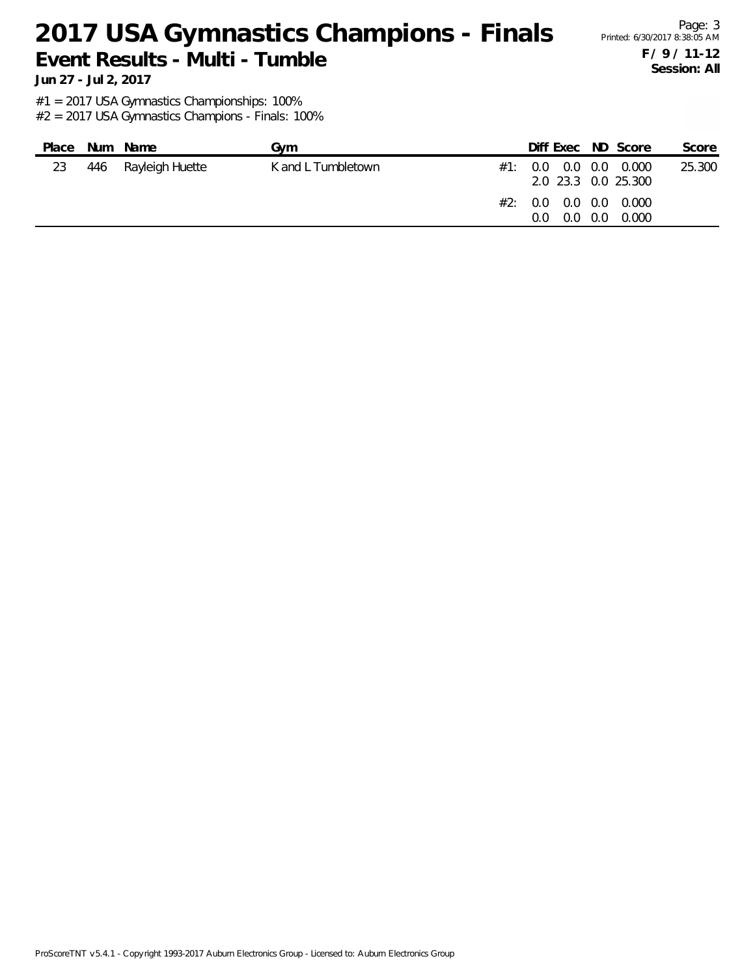# 2017 USA Gymnastics Champions - Finals Printed: 6/30/2017 8:38:05 AM **Event Results - Multi - Tumble**

Page: 3 **F / 9 / 11-12 Session: All**

**Jun 27 - Jul 2, 2017**

#1 = 2017 USA Gymnastics Championships: 100%

| Place | Num Name            | Gvm                | Diff Exec ND Score                                                                      |               |       | Score  |
|-------|---------------------|--------------------|-----------------------------------------------------------------------------------------|---------------|-------|--------|
| 23    | 446 Rayleigh Huette | K and L Tumbletown | $\#1$ : 0.0 0.0 0.0 0.000<br>2.0 23.3 0.0 25.300<br>#2: 0.0 0.0 0.0 0.000<br>0.0<br>0.0 | $0.0^{\circ}$ | 0.000 | 25.300 |
|       |                     |                    |                                                                                         |               |       |        |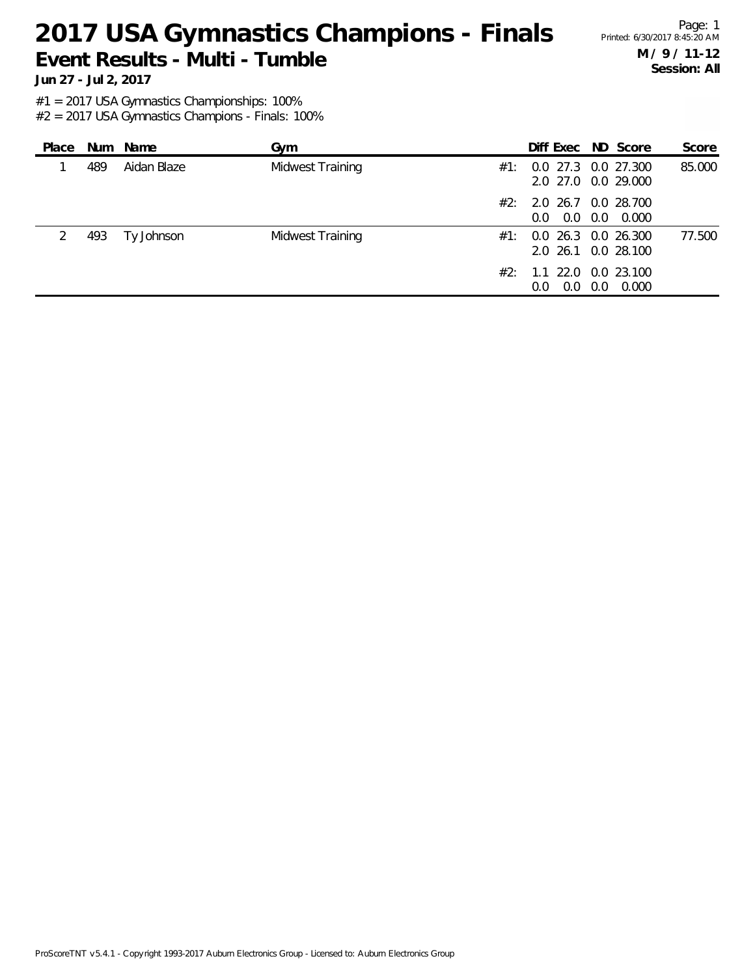# 2017 USA Gymnastics Champions - Finals Printed: 6/30/2017 8:45:20 AM **Event Results - Multi - Tumble**

Page: 1 **M / 9 / 11-12 Session: All**

**Jun 27 - Jul 2, 2017**

#1 = 2017 USA Gymnastics Championships: 100%

| Place |     | Num Name    | Gym              | Diff Exec ND Score                                       |     |       | Score  |
|-------|-----|-------------|------------------|----------------------------------------------------------|-----|-------|--------|
|       | 489 | Aidan Blaze | Midwest Training | $\#1$ : 0.0 27.3 0.0 27.300<br>2.0 27.0 0.0 29.000       |     |       | 85.000 |
|       |     |             |                  | $\#2$ : 2.0 26.7 0.0 28.700<br>$0.0$ $0.0$ $0.0$ $0.000$ |     |       |        |
|       | 493 | Ty Johnson  | Midwest Training | $\#1$ : 0.0 26.3 0.0 26.300<br>2.0 26.1 0.0 28.100       |     |       | 77.500 |
|       |     |             | #2:              | 1.1 22.0 0.0 23.100<br>0.0<br>$0.0^{\circ}$              | 0.0 | 0.000 |        |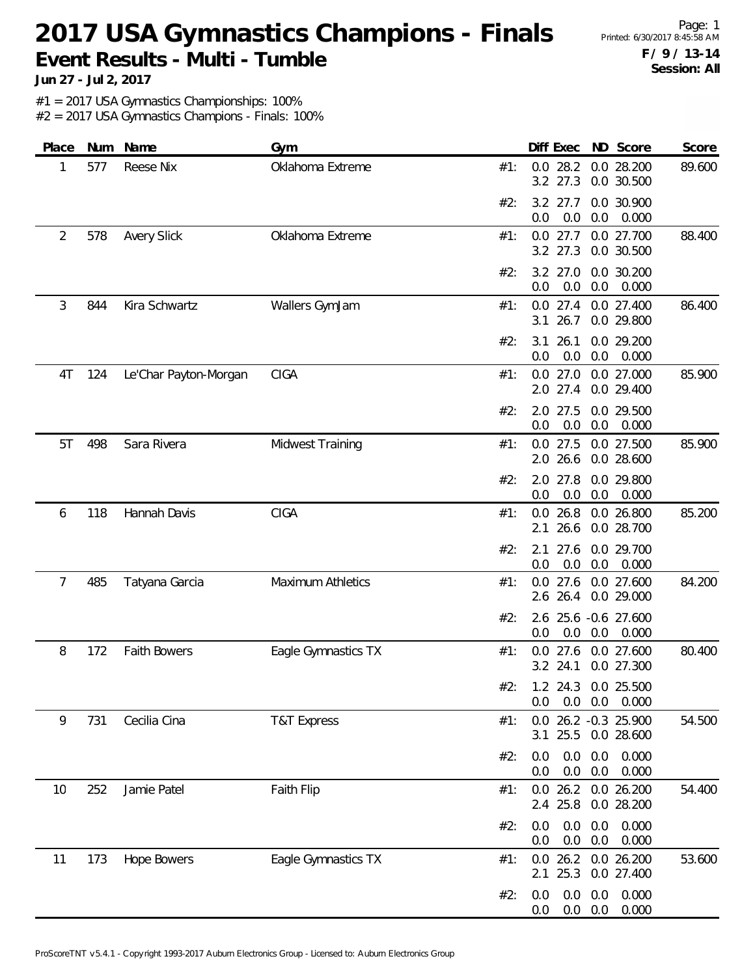# 2017 USA Gymnastics Champions - Finals Printed: 6/30/2017 8:45:58 AM **Event Results - Multi - Tumble**

Page: 1 **F / 9 / 13-14 Session: All**

**Jun 27 - Jul 2, 2017**

#1 = 2017 USA Gymnastics Championships: 100%

| Place          | Num | Name                  | Gym                      |     | Diff Exec                 | ND Score                                | Score  |
|----------------|-----|-----------------------|--------------------------|-----|---------------------------|-----------------------------------------|--------|
| 1              | 577 | Reese Nix             | Oklahoma Extreme         | #1: | $0.0$ 28.2<br>3.2 27.3    | 0.0 28.200<br>0.0 30.500                | 89.600 |
|                |     |                       |                          | #2: | $3.2$ 27.7<br>0.0<br>0.0  | 0.0 30.900<br>0.0<br>0.000              |        |
| $\overline{2}$ | 578 | <b>Avery Slick</b>    | Oklahoma Extreme         | #1: | $0.0$ 27.7<br>3.2 27.3    | 0.0 27.700<br>0.0 30.500                | 88.400 |
|                |     |                       |                          | #2: | 3.2 27.0<br>0.0<br>0.0    | 0.0 30.200<br>0.0<br>0.000              |        |
| 3              | 844 | Kira Schwartz         | Wallers GymJam           | #1: | 26.7<br>3.1               | 0.0 27.4 0.0 27.400<br>0.0 29.800       | 86.400 |
|                |     |                       |                          | #2: | 3.1<br>26.1<br>0.0<br>0.0 | 0.0 29.200<br>0.0<br>0.000              |        |
| 4T             | 124 | Le'Char Payton-Morgan | CIGA                     | #1: | $0.0$ 27.0<br>$2.0$ 27.4  | 0.0 27.000<br>0.0 29.400                | 85.900 |
|                |     |                       |                          | #2: | 2.0 27.5<br>0.0<br>0.0    | 0.0 29.500<br>0.000<br>0.0              |        |
| 5T             | 498 | Sara Rivera           | Midwest Training         | #1: | $0.0$ 27.5<br>2.0 26.6    | 0.0 27.500<br>0.0 28.600                | 85.900 |
|                |     |                       |                          | #2: | 2.0 27.8<br>0.0<br>0.0    | 0.0 29.800<br>0.0<br>0.000              |        |
| 6              | 118 | Hannah Davis          | <b>CIGA</b>              | #1: | $0.0$ 26.8<br>2.1<br>26.6 | 0.0 26.800<br>0.0 28.700                | 85.200 |
|                |     |                       |                          | #2: | 27.6<br>2.1<br>0.0<br>0.0 | 0.0 29.700<br>0.000<br>0.0              |        |
| 7              | 485 | Tatyana Garcia        | <b>Maximum Athletics</b> | #1: | $0.0$ 27.6<br>2.6 26.4    | 0.0 27.600<br>0.0 29.000                | 84.200 |
|                |     |                       |                          | #2: | 0.0<br>0.0                | 2.6 25.6 -0.6 27.600<br>0.0<br>0.000    |        |
| 8              | 172 | Faith Bowers          | Eagle Gymnastics TX      | #1: | 27.6<br>0.0<br>3.2 24.1   | 0.0 27.600<br>0.0 27.300                | 80.400 |
|                |     |                       |                          | #2: | 0.0<br>0.0                | 1.2 24.3 0.0 25.500<br>$0.0\quad 0.000$ |        |
| 9              | 731 | Cecilia Cina          | <b>T&amp;T Express</b>   | #1: | 25.5<br>3.1               | 0.0 26.2 -0.3 25.900<br>0.0 28.600      | 54.500 |
|                |     |                       |                          | #2: | 0.0<br>0.0<br>0.0<br>0.0  | 0.0<br>0.000<br>0.0<br>0.000            |        |
| 10             | 252 | Jamie Patel           | Faith Flip               | #1: | $0.0$ 26.2<br>2.4 25.8    | 0.0 26.200<br>0.0 28.200                | 54.400 |
|                |     |                       |                          | #2: | 0.0<br>0.0<br>0.0<br>0.0  | 0.0<br>0.000<br>0.0<br>0.000            |        |
| 11             | 173 | <b>Hope Bowers</b>    | Eagle Gymnastics TX      | #1: | $0.0$ 26.2<br>25.3<br>2.1 | 0.0 26.200<br>0.0 27.400                | 53.600 |
|                |     |                       |                          | #2: | 0.0<br>0.0<br>0.0<br>0.0  | 0.000<br>0.0<br>0.0<br>0.000            |        |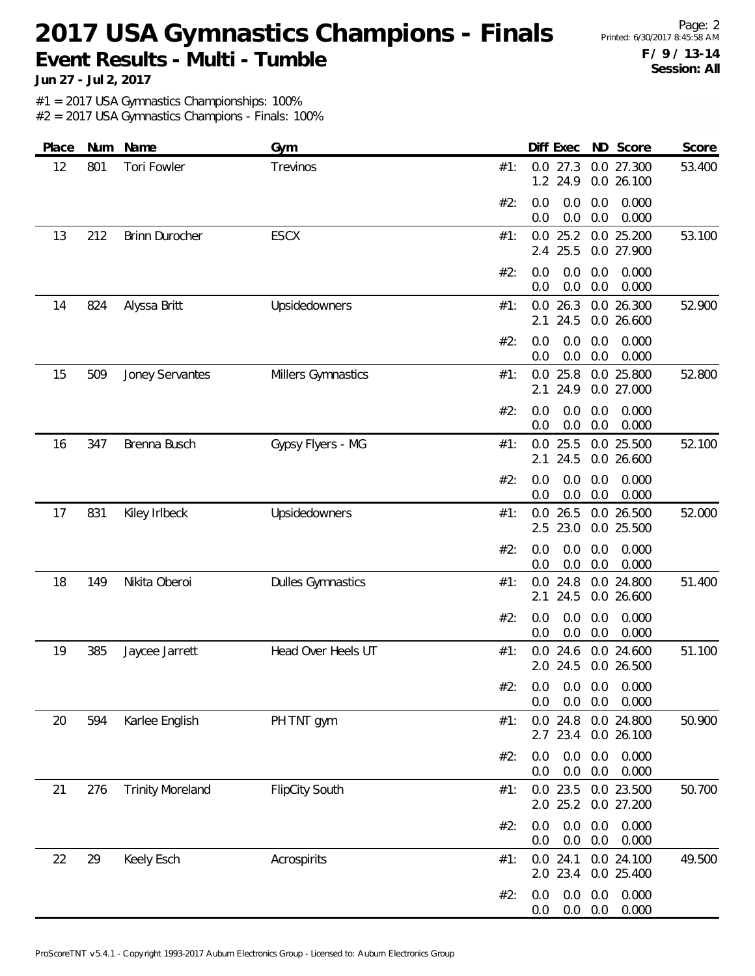# 2017 USA Gymnastics Champions - Finals Printed: 6/30/2017 8:45:58 AM **Event Results - Multi - Tumble**

Page: 2 **F / 9 / 13-14 Session: All**

**Jun 27 - Jul 2, 2017**

#1 = 2017 USA Gymnastics Championships: 100%

| Place | Num | Name                    | Gym                      |     | Diff Exec                                  | ND Score                 |                | Score  |
|-------|-----|-------------------------|--------------------------|-----|--------------------------------------------|--------------------------|----------------|--------|
| 12    | 801 | Tori Fowler             | Trevinos                 | #1: | $0.0$ 27.3<br>1.2 24.9                     | 0.0 27.300<br>0.0 26.100 |                | 53.400 |
|       |     |                         |                          | #2: | 0.0<br>0.0<br>0.0<br>0.0                   | 0.0<br>0.0               | 0.000<br>0.000 |        |
| 13    | 212 | Brinn Durocher          | <b>ESCX</b>              | #1: | 25.2<br>0.0<br>2.4 25.5                    | 0.0 25.200<br>0.0 27.900 |                | 53.100 |
|       |     |                         |                          | #2: | 0.0<br>0.0<br>0.0<br>0.0                   | 0.0<br>0.0               | 0.000<br>0.000 |        |
| 14    | 824 | Alyssa Britt            | Upsidedowners            | #1: | $0.0$ 26.3<br>24.5<br>2.1                  | 0.0 26.300<br>0.0 26.600 |                | 52.900 |
|       |     |                         |                          | #2: | 0.0<br>0.0<br>$0.0\,$<br>0.0               | 0.0<br>0.0               | 0.000<br>0.000 |        |
| 15    | 509 | Joney Servantes         | Millers Gymnastics       | #1: | 25.8<br>0.0<br>24.9<br>2.1                 | 0.0 25.800<br>0.0 27.000 |                | 52.800 |
|       |     |                         |                          | #2: | 0.0<br>0.0<br>0.0<br>0.0                   | 0.0<br>0.0               | 0.000<br>0.000 |        |
| 16    | 347 | Brenna Busch            | Gypsy Flyers - MG        | #1: | 25.5<br>0.0<br>24.5<br>2.1                 | 0.0 25.500<br>0.0 26.600 |                | 52.100 |
|       |     |                         |                          | #2: | 0.0<br>0.0<br>0.0<br>0.0                   | 0.0<br>0.0               | 0.000<br>0.000 |        |
| 17    | 831 | Kiley Irlbeck           | Upsidedowners            | #1: | $0.0$ 26.5<br>23.0<br>2.5                  | 0.0 26.500<br>0.0 25.500 |                | 52.000 |
|       |     |                         |                          | #2: | 0.0<br>0.0<br>0.0<br>0.0                   | 0.0<br>0.0               | 0.000<br>0.000 |        |
| 18    | 149 | Nikita Oberoi           | <b>Dulles Gymnastics</b> | #1: | 24.8<br>0.0<br>24.5<br>2.1                 | 0.0 24.800<br>0.0 26.600 |                | 51.400 |
|       |     |                         |                          | #2: | 0.0<br>0.0<br>0.0<br>0.0                   | 0.0<br>0.0               | 0.000<br>0.000 |        |
| 19    | 385 | Jaycee Jarrett          | Head Over Heels UT       | #1: | 24.6<br>0.0<br>2.0 24.5                    | 0.0 24.600<br>0.0 26.500 |                | 51.100 |
|       |     |                         |                          |     | #2: 0.0 0.0 0.0 0.000<br>0.0<br>0.0        | 0.0                      | 0.000          |        |
| 20    | 594 | Karlee English          | PH TNT gym               | #1: | 0.0 24.8 0.0 24.800<br>2.7 23.4 0.0 26.100 |                          |                | 50.900 |
|       |     |                         |                          | #2: | 0.0<br>0.0<br>0.0<br>0.0                   | 0.0<br>0.0               | 0.000<br>0.000 |        |
| 21    | 276 | <b>Trinity Moreland</b> | <b>FlipCity South</b>    | #1: | $0.0$ 23.5<br>2.0 25.2                     | 0.0 23.500<br>0.0 27.200 |                | 50.700 |
|       |     |                         |                          | #2: | 0.0<br>0.0<br>0.0<br>0.0                   | 0.0<br>0.0               | 0.000<br>0.000 |        |
| 22    | 29  | Keely Esch              | Acrospirits              | #1: | $0.0$ 24.1<br>2.0 23.4                     | 0.0 24.100<br>0.0 25.400 |                | 49.500 |
|       |     |                         |                          | #2: | 0.0<br>0.0<br>0.0                          | 0.0<br>$0.0\ 0.0$        | 0.000<br>0.000 |        |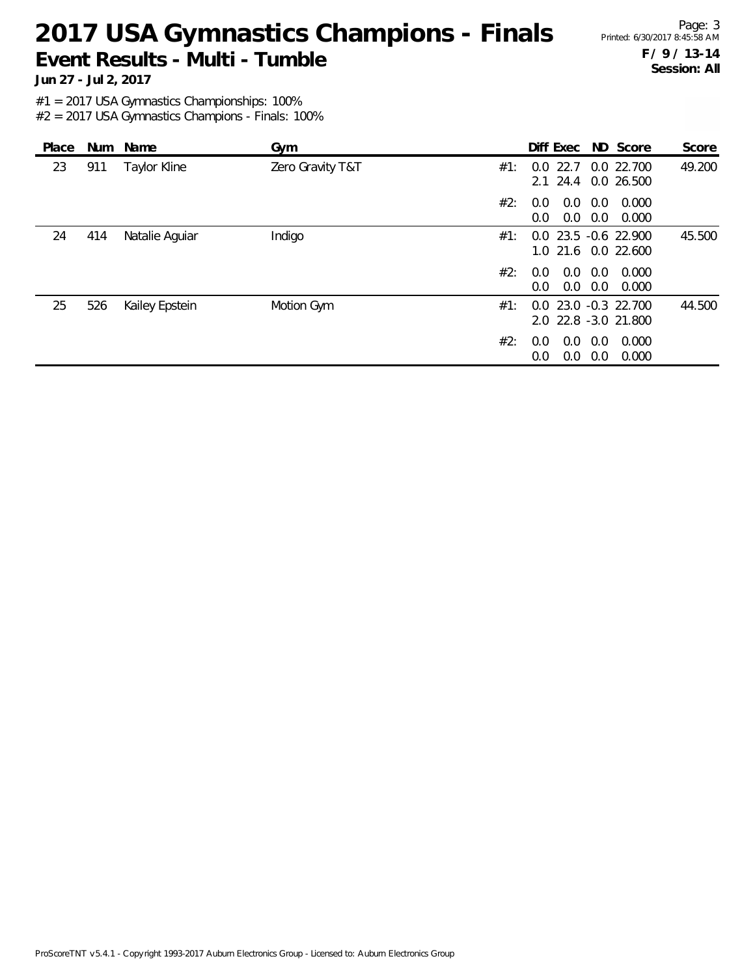# 2017 USA Gymnastics Champions - Finals Printed: 6/30/2017 8:45:58 AM **Event Results - Multi - Tumble**

Page: 3 **F / 9 / 13-14 Session: All**

**Jun 27 - Jul 2, 2017**

#1 = 2017 USA Gymnastics Championships: 100%

| Place |     | Num Name       | Gym              |     | Diff Exec ND Score                               |            |                | Score  |
|-------|-----|----------------|------------------|-----|--------------------------------------------------|------------|----------------|--------|
| 23    | 911 | Taylor Kline   | Zero Gravity T&T | #1: | 22.7<br>0.0<br>2.1 24.4 0.0 26.500               |            | 0.0 22.700     | 49.200 |
|       |     |                |                  | #2: | 0.0<br>0.0<br>0.0<br>0.0                         | 0.0<br>0.0 | 0.000<br>0.000 |        |
| 24    | 414 | Natalie Aguiar | Indigo           | #1: | $0.0$ 23.5 $-0.6$ 22.900<br>1.0 21.6 0.0 22.600  |            |                | 45.500 |
|       |     |                |                  | #2: | 0.0<br>0.0<br>0.0<br>$0.0^{\circ}$               | 0.0<br>0.0 | 0.000<br>0.000 |        |
| 25    | 526 | Kailey Epstein | Motion Gym       | #1: | $0.0$ 23.0 $-0.3$ 22.700<br>2.0 22.8 -3.0 21.800 |            |                | 44.500 |
|       |     |                |                  | #2: | 0.0<br>0.0<br>0.0<br>0.0                         | 0.0<br>0.0 | 0.000<br>0.000 |        |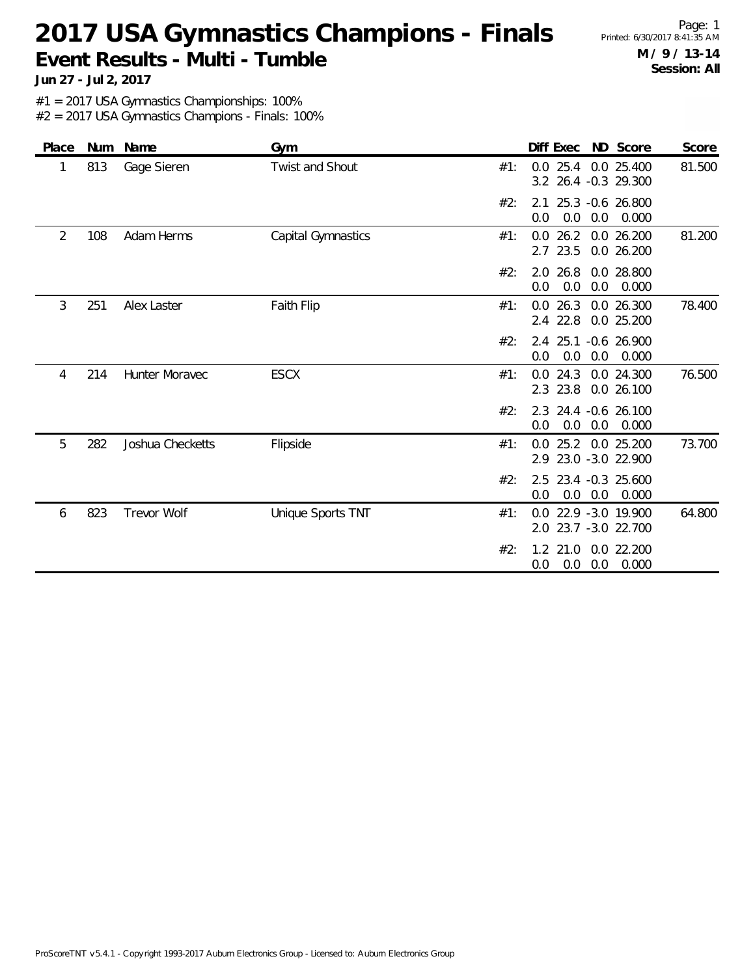# 2017 USA Gymnastics Champions - Finals Printed: 6/30/2017 8:41:35 AM **Event Results - Multi - Tumble**

Page: 1 **M / 9 / 13-14 Session: All**

**Jun 27 - Jul 2, 2017**

#1 = 2017 USA Gymnastics Championships: 100%

| Place | Num | Name               | Gym                    |     | Diff Exec                                       | ND Score<br>Score                  |
|-------|-----|--------------------|------------------------|-----|-------------------------------------------------|------------------------------------|
| 1     | 813 | Gage Sieren        | <b>Twist and Shout</b> | #1: | 25.4<br>0.0<br>3.2 26.4 -0.3 29.300             | 81.500<br>0.0 25.400               |
|       |     |                    |                        | #2: | 25.3 -0.6 26.800<br>2.1<br>0.0<br>0.0<br>0.0    | 0.000                              |
| 2     | 108 | Adam Herms         | Capital Gymnastics     | #1: | $0.0$ 26.2<br>23.5<br>2.7                       | 81.200<br>0.0 26.200<br>0.0 26.200 |
|       |     |                    |                        | #2: | 2.0 26.8<br>0.0<br>0.0<br>0.0                   | 0.0 28.800<br>0.000                |
| 3     | 251 | Alex Laster        | Faith Flip             | #1: | 0.026.3<br>22.8<br>2.4                          | 78.400<br>0.0 26.300<br>0.0 25.200 |
|       |     |                    |                        | #2: | 2.4 25.1<br>0.0<br>0.0<br>0.0                   | $-0.6$ 26.900<br>0.000             |
| 4     | 214 | Hunter Moravec     | <b>ESCX</b>            | #1: | $0.0$ 24.3<br>2.3 23.8                          | 0.0 24.300<br>76.500<br>0.0 26.100 |
|       |     |                    |                        | #2: | 2.3 24.4 -0.6 26.100<br>0.0<br>0.0<br>0.0       | 0.000                              |
| 5     | 282 | Joshua Checketts   | Flipside               | #1: | 25.2 0.0 25.200<br>0.0<br>2.9 23.0 -3.0 22.900  | 73.700                             |
|       |     |                    |                        | #2: | 2.5 23.4 -0.3 25.600<br>0.0<br>0.0<br>0.0       | 0.000                              |
| 6     | 823 | <b>Trevor Wolf</b> | Unique Sports TNT      | #1: | 0.0 22.9 -3.0 19.900<br>23.7 -3.0 22.700<br>2.0 | 64.800                             |
|       |     |                    |                        | #2: | $1.2$ 21.0<br>0.0<br>0.0<br>0.0                 | 0.0 22.200<br>0.000                |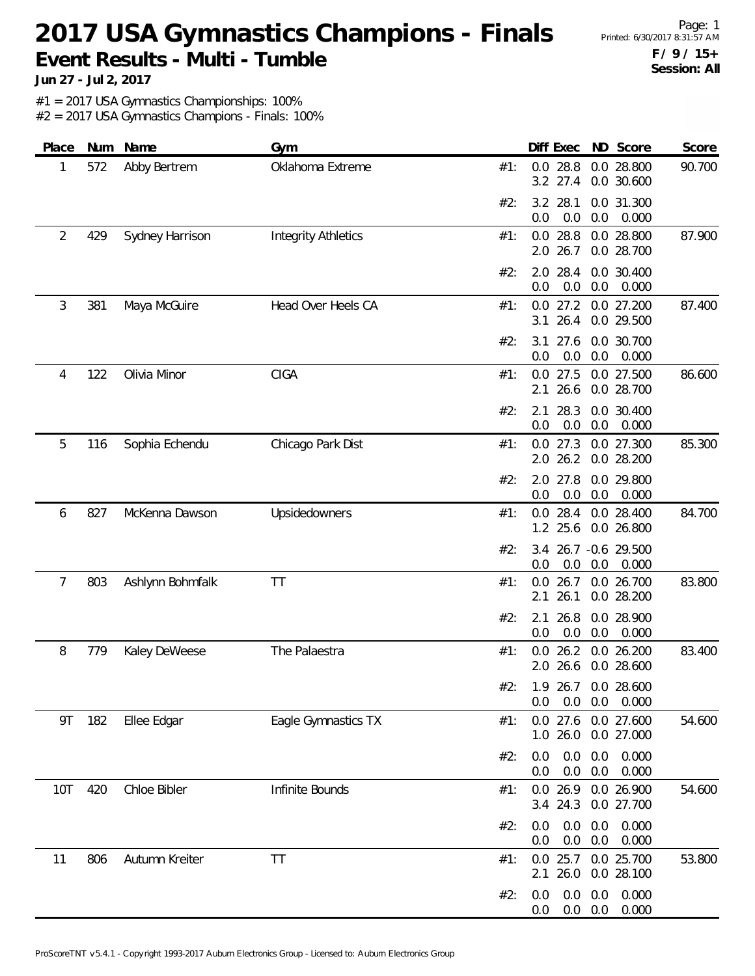# 2017 USA Gymnastics Champions - Finals Printed: 6/30/2017 8:31:57 AM **Event Results - Multi - Tumble**

Page: 1 **F / 9 / 15+ Session: All**

**Jun 27 - Jul 2, 2017**

#1 = 2017 USA Gymnastics Championships: 100%

| Place      |     | Num Name         | Gym                        |     | Diff Exec ND Score                         |                          | Score          |
|------------|-----|------------------|----------------------------|-----|--------------------------------------------|--------------------------|----------------|
| 1          | 572 | Abby Bertrem     | Oklahoma Extreme           | #1: | $0.0$ 28.8<br>3.2 27.4                     | 0.0 28.800<br>0.0 30.600 | 90.700         |
|            |     |                  |                            | #2: | 28.1<br>3.2<br>0.0<br>0.0                  | 0.0 31.300<br>0.0        | 0.000          |
| 2          | 429 | Sydney Harrison  | <b>Integrity Athletics</b> | #1: | 28.8<br>0.0<br>26.7<br>2.0                 | 0.0 28.800<br>0.0 28.700 | 87.900         |
|            |     |                  |                            | #2: | 28.4<br>2.0<br>0.0<br>0.0                  | 0.0 30.400<br>0.0        | 0.000          |
| 3          | 381 | Maya McGuire     | Head Over Heels CA         | #1: | $0.0$ 27.2<br>26.4<br>3.1                  | 0.0 27.200<br>0.0 29.500 | 87.400         |
|            |     |                  |                            | #2: | 27.6<br>3.1<br>0.0<br>0.0                  | 0.0 30.700<br>0.0        | 0.000          |
| 4          | 122 | Olivia Minor     | <b>CIGA</b>                | #1: | 27.5<br>0.0<br>26.6<br>2.1                 | 0.0 27.500<br>0.0 28.700 | 86.600         |
|            |     |                  |                            | #2: | 28.3<br>2.1<br>0.0<br>0.0                  | 0.0 30.400<br>0.0        | 0.000          |
| 5          | 116 | Sophia Echendu   | Chicago Park Dist          | #1: | $0.0$ 27.3<br>26.2<br>2.0                  | 0.0 27.300<br>0.0 28.200 | 85.300         |
|            |     |                  |                            | #2: | 2.0<br>27.8<br>0.0<br>0.0                  | 0.0 29.800<br>0.0        | 0.000          |
| 6          | 827 | McKenna Dawson   | Upsidedowners              | #1: | $0.0$ 28.4<br>1.2 25.6                     | 0.0 28.400<br>0.0 26.800 | 84.700         |
|            |     |                  |                            | #2: | 3.4<br>0.0<br>0.0                          | 26.7 -0.6 29.500<br>0.0  | 0.000          |
| 7          | 803 | Ashlynn Bohmfalk | <b>TT</b>                  | #1: | 26.7<br>0.0<br>26.1<br>2.1                 | 0.0 26.700<br>0.0 28.200 | 83.800         |
|            |     |                  |                            | #2: | 26.8<br>2.1<br>0.0<br>0.0                  | 0.0 28.900<br>0.0        | 0.000          |
| 8          | 779 | Kaley DeWeese    | The Palaestra              | #1: | $0.0$ 26.2<br>2.0 26.6                     | 0.0 26.200<br>0.0 28.600 | 83.400         |
|            |     |                  |                            |     | #2: 1.9 26.7 0.0 28.600<br>0.0<br>$0.0\,$  | $0.0\quad 0.000$         |                |
| 9T         | 182 | Ellee Edgar      | Eagle Gymnastics TX        | #1: | 0.0 27.6 0.0 27.600<br>1.0 26.0 0.0 27.000 |                          | 54.600         |
|            |     |                  |                            | #2: | 0.0<br>0.0<br>0.0<br>0.0                   | 0.0<br>0.0               | 0.000<br>0.000 |
| <b>10T</b> | 420 | Chloe Bibler     | Infinite Bounds            | #1: | $0.0$ 26.9<br>3.4 24.3                     | 0.0 26.900<br>0.0 27.700 | 54.600         |
|            |     |                  |                            | #2: | 0.0<br>0.0<br>0.0<br>0.0                   | 0.0<br>0.0               | 0.000<br>0.000 |
| 11         | 806 | Autumn Kreiter   | <b>TT</b>                  | #1: | $0.0$ 25.7<br>26.0<br>2.1                  | 0.0 25.700<br>0.0 28.100 | 53.800         |
|            |     |                  |                            | #2: | 0.0<br>0.0<br>0.0                          | 0.0<br>$0.0\quad 0.0$    | 0.000<br>0.000 |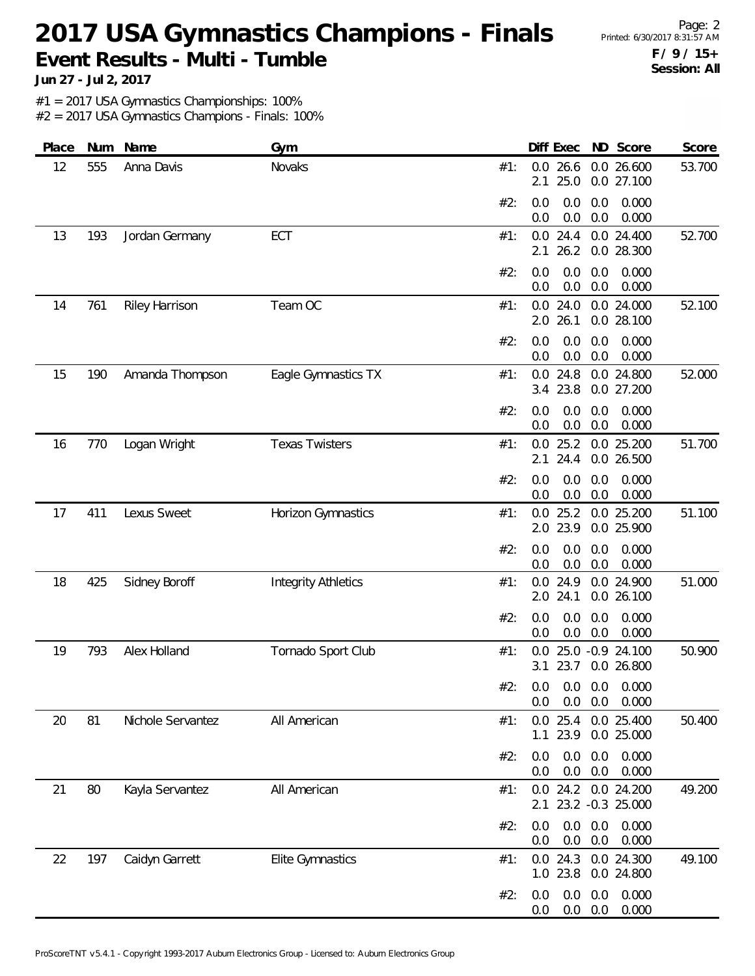# 2017 USA Gymnastics Champions - Finals Printed: 6/30/2017 8:31:57 AM **Event Results - Multi - Tumble**

Page: 2 **F / 9 / 15+ Session: All**

**Jun 27 - Jul 2, 2017**

#1 = 2017 USA Gymnastics Championships: 100%

| Place | Num | Name                  | Gym                        |     | Diff Exec                                   |            | ND Score                       | Score  |
|-------|-----|-----------------------|----------------------------|-----|---------------------------------------------|------------|--------------------------------|--------|
| 12    | 555 | Anna Davis            | Novaks                     | #1: | 0.0<br>26.6<br>25.0<br>2.1                  |            | 0.0 26.600<br>0.0 27.100       | 53.700 |
|       |     |                       |                            | #2: | 0.0<br>0.0<br>0.0<br>0.0                    | 0.0<br>0.0 | 0.000<br>0.000                 |        |
| 13    | 193 | Jordan Germany        | ECT                        | #1: | $0.0$ 24.4<br>26.2<br>2.1                   |            | 0.0 24.400<br>0.0 28.300       | 52.700 |
|       |     |                       |                            | #2: | 0.0<br>0.0<br>0.0<br>0.0                    | 0.0<br>0.0 | 0.000<br>0.000                 |        |
| 14    | 761 | <b>Riley Harrison</b> | Team OC                    | #1: | 24.0<br>0.0<br>26.1<br>2.0                  |            | 0.0 24.000<br>0.0 28.100       | 52.100 |
|       |     |                       |                            | #2: | 0.0<br>0.0<br>0.0<br>0.0                    | 0.0<br>0.0 | 0.000<br>0.000                 |        |
| 15    | 190 | Amanda Thompson       | Eagle Gymnastics TX        | #1: | $0.0$ 24.8<br>3.4 23.8                      |            | 0.0 24.800<br>0.0 27.200       | 52.000 |
|       |     |                       |                            | #2: | 0.0<br>0.0<br>0.0<br>0.0                    | 0.0<br>0.0 | 0.000<br>0.000                 |        |
| 16    | 770 | Logan Wright          | <b>Texas Twisters</b>      | #1: | 25.2<br>0.0<br>24.4<br>2.1                  |            | 0.0 25.200<br>0.0 26.500       | 51.700 |
|       |     |                       |                            | #2: | 0.0<br>0.0<br>0.0<br>0.0                    | 0.0<br>0.0 | 0.000<br>0.000                 |        |
| 17    | 411 | Lexus Sweet           | Horizon Gymnastics         | #1: | $0.0$ 25.2<br>2.0 23.9                      |            | 0.0 25.200<br>0.0 25.900       | 51.100 |
|       |     |                       |                            | #2: | 0.0<br>0.0<br>0.0<br>0.0                    | 0.0<br>0.0 | 0.000<br>0.000                 |        |
| 18    | 425 | Sidney Boroff         | <b>Integrity Athletics</b> | #1: | $0.0$ 24.9<br>2.0 24.1                      |            | 0.0 24.900<br>0.0 26.100       | 51.000 |
|       |     |                       |                            | #2: | 0.0<br>0.0<br>0.0<br>0.0                    | 0.0<br>0.0 | 0.000<br>0.000                 |        |
| 19    | 793 | Alex Holland          | Tornado Sport Club         | #1: | 0.0<br>23.7<br>3.1                          |            | 25.0 -0.9 24.100<br>0.0 26.800 | 50.900 |
|       |     |                       |                            | #2∙ | 0.0 0.0 0.0 0.000<br>0.0<br>0.0             | 0.0        | 0.000                          |        |
| 20    | 81  | Nichole Servantez     | All American               | #1: | $0.0$ 25.4<br>23.9<br>1.1                   |            | 0.0 25.400<br>0.0 25.000       | 50.400 |
|       |     |                       |                            | #2: | 0.0<br>0.0<br>0.0<br>0.0                    | 0.0<br>0.0 | 0.000<br>0.000                 |        |
| 21    | 80  | Kayla Servantez       | All American               | #1: | 0.0 24.2 0.0 24.200<br>2.1 23.2 -0.3 25.000 |            |                                | 49.200 |
|       |     |                       |                            | #2: | 0.0<br>0.0<br>0.0<br>0.0                    | 0.0<br>0.0 | 0.000<br>0.000                 |        |
| 22    | 197 | Caidyn Garrett        | Elite Gymnastics           | #1: | 0.0 24.3 0.0 24.300<br>1.0 23.8             |            | 0.0 24.800                     | 49.100 |
|       |     |                       |                            | #2: | 0.0<br>0.0<br>0.0<br>0.0                    | 0.0<br>0.0 | 0.000<br>0.000                 |        |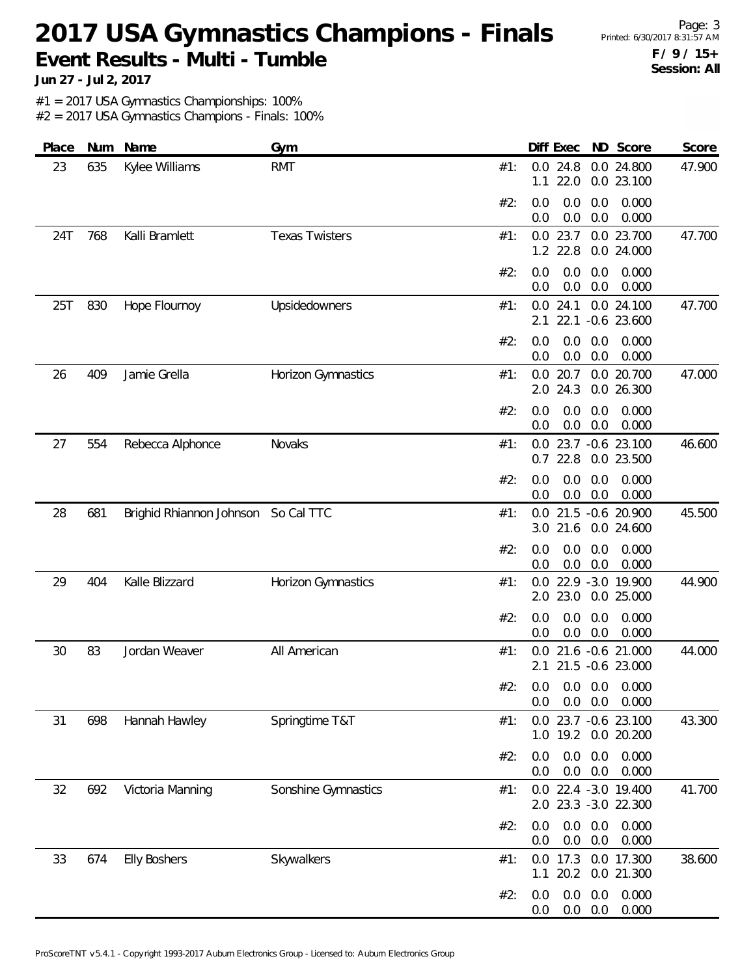# 2017 USA Gymnastics Champions - Finals Printed: 6/30/2017 8:31:57 AM **Event Results - Multi - Tumble**

Page: 3 **F / 9 / 15+ Session: All**

**Jun 27 - Jul 2, 2017**

#1 = 2017 USA Gymnastics Championships: 100%

| Place | Num | Name                     | Gym                   |     | Diff Exec                                    | ND Score                                 | Score  |
|-------|-----|--------------------------|-----------------------|-----|----------------------------------------------|------------------------------------------|--------|
| 23    | 635 | Kylee Williams           | <b>RMT</b>            | #1: | $0.0$ 24.8<br>22.0<br>1.1                    | 0.0 24.800<br>0.0 23.100                 | 47.900 |
|       |     |                          |                       | #2: | 0.0<br>0.0<br>0.0<br>0.0                     | 0.000<br>0.0<br>0.0<br>0.000             |        |
| 24T   | 768 | Kalli Bramlett           | <b>Texas Twisters</b> | #1: | $0.0$ 23.7<br>1.2 22.8                       | 0.0 23.700<br>0.0 24.000                 | 47.700 |
|       |     |                          |                       | #2: | 0.0<br>0.0<br>0.0<br>0.0                     | 0.0<br>0.000<br>0.0<br>0.000             |        |
| 25T   | 830 | Hope Flournoy            | Upsidedowners         | #1: | 24.1<br>0.0<br>22.1<br>2.1                   | 0.0 24.100<br>$-0.6$ 23.600              | 47.700 |
|       |     |                          |                       | #2: | 0.0<br>0.0<br>0.0<br>0.0                     | 0.0<br>0.000<br>0.0<br>0.000             |        |
| 26    | 409 | Jamie Grella             | Horizon Gymnastics    | #1: | $0.0$ 20.7<br>2.0 24.3                       | 0.0 20.700<br>0.0 26.300                 | 47.000 |
|       |     |                          |                       | #2: | 0.0<br>0.0<br>0.0<br>0.0                     | 0.000<br>0.0<br>0.0<br>0.000             |        |
| 27    | 554 | Rebecca Alphonce         | Novaks                | #1: | 0.0 23.7 -0.6 23.100<br>$0.7$ 22.8           | 0.0 23.500                               | 46.600 |
|       |     |                          |                       | #2: | 0.0<br>0.0<br>$0.0\,$<br>0.0                 | 0.0<br>0.000<br>0.0<br>0.000             |        |
| 28    | 681 | Brighid Rhiannon Johnson | So Cal TTC            | #1: | 0.0 21.5 -0.6 20.900<br>21.6<br>3.0          | 0.0 24.600                               | 45.500 |
|       |     |                          |                       | #2: | 0.0<br>0.0<br>0.0<br>0.0                     | 0.0<br>0.000<br>0.000<br>0.0             |        |
| 29    | 404 | Kalle Blizzard           | Horizon Gymnastics    | #1: | 0.0 22.9 -3.0 19.900<br>2.0 23.0             | 0.0 25.000                               | 44.900 |
|       |     |                          |                       | #2: | 0.0<br>0.0<br>0.0<br>0.0                     | 0.000<br>0.0<br>0.0<br>0.000             |        |
| 30    | 83  | Jordan Weaver            | All American          | #1: | 0.0                                          | 21.6 -0.6 21.000<br>2.1 21.5 -0.6 23.000 | 44.000 |
|       |     |                          |                       |     | #2: 0.0 0.0 0.0 0.000<br>0.0<br>0.0          | 0.0<br>0.000                             |        |
| 31    | 698 | Hannah Hawley            | Springtime T&T        | #1: | 0.0 23.7 -0.6 23.100                         | 1.0 19.2 0.0 20.200                      | 43.300 |
|       |     |                          |                       | #2: | 0.0<br>0.0<br>0.0<br>0.0                     | 0.0<br>0.000<br>0.0<br>0.000             |        |
| 32    | 692 | Victoria Manning         | Sonshine Gymnastics   | #1: | 0.0 22.4 -3.0 19.400<br>2.0 23.3 -3.0 22.300 |                                          | 41.700 |
|       |     |                          |                       | #2: | 0.0<br>0.0<br>0.0<br>0.0                     | 0.0<br>0.000<br>0.0<br>0.000             |        |
| 33    | 674 | <b>Elly Boshers</b>      | Skywalkers            | #1: | 0.0 17.3 0.0 17.300<br>20.2<br>1.1           | 0.0 21.300                               | 38.600 |
|       |     |                          |                       | #2: | 0.0<br>0.0<br>0.0<br>0.0                     | 0.0<br>0.000<br>0.000<br>0.0             |        |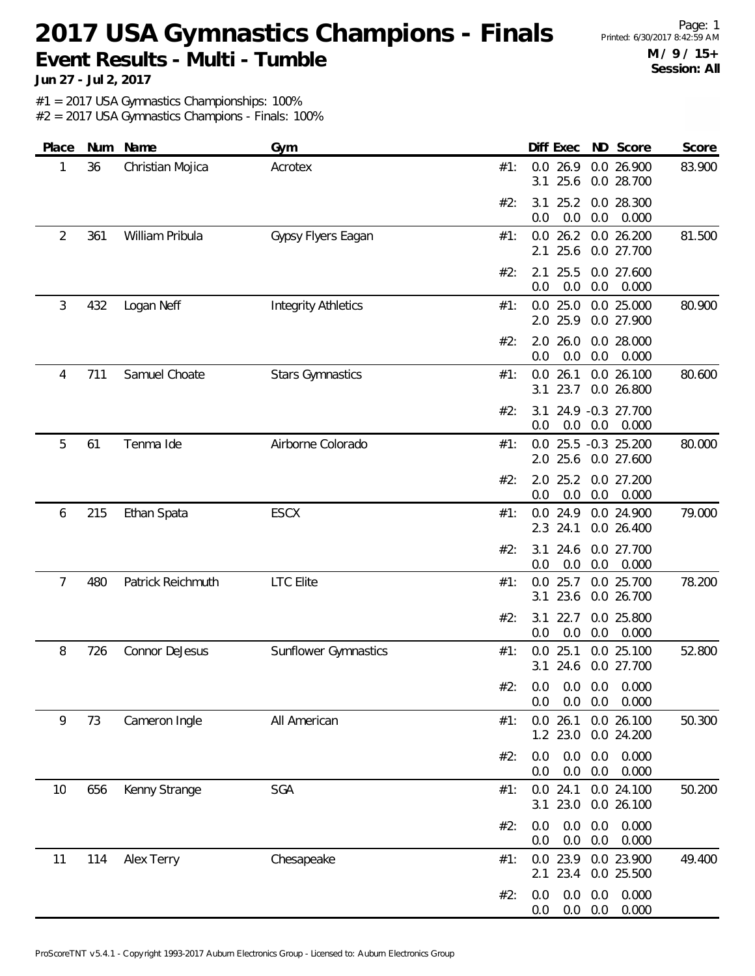# 2017 USA Gymnastics Champions - Finals Printed: 6/30/2017 8:42:59 AM **Event Results - Multi - Tumble**

Page: 1 **M / 9 / 15+ Session: All**

**Jun 27 - Jul 2, 2017**

#1 = 2017 USA Gymnastics Championships: 100%

| Place   |     | Num Name          | Gym                        |     | Diff Exec                         | ND Score                 | Score          |
|---------|-----|-------------------|----------------------------|-----|-----------------------------------|--------------------------|----------------|
| 36<br>1 |     | Christian Mojica  | Acrotex                    | #1: | $0.0$ 26.9<br>25.6<br>3.1         | 0.0 26.900<br>0.0 28.700 | 83.900         |
|         |     |                   |                            | #2: | 3.1<br>25.2<br>0.0<br>0.0         | 0.0 28.300<br>0.0        | 0.000          |
| 2       | 361 | William Pribula   | Gypsy Flyers Eagan         | #1: | 26.2<br>0.0<br>25.6<br>2.1        | 0.0 26.200<br>0.0 27.700 | 81.500         |
|         |     |                   |                            | #2: | 25.5<br>2.1<br>0.0<br>0.0         | 0.0 27.600<br>0.0        | 0.000          |
| 3       | 432 | Logan Neff        | <b>Integrity Athletics</b> | #1: | $0.0$ 25.0<br>2.0 25.9            | 0.0 25.000<br>0.0 27.900 | 80.900         |
|         |     |                   |                            | #2: | 26.0<br>2.0<br>0.0<br>0.0         | 0.0 28.000<br>0.0        | 0.000          |
| 4       | 711 | Samuel Choate     | <b>Stars Gymnastics</b>    | #1: | 26.1<br>0.0<br>23.7<br>3.1        | 0.0 26.100<br>0.0 26.800 | 80.600         |
|         |     |                   |                            | #2: | 3.1<br>0.0<br>0.0                 | 24.9 -0.3 27.700<br>0.0  | 0.000          |
| 5       | 61  | Tenma Ide         | Airborne Colorado          | #1: | 0.0 25.5 -0.3 25.200<br>2.0 25.6  | 0.0 27.600               | 80.000         |
|         |     |                   |                            | #2: | 2.0<br>25.2<br>0.0<br>0.0         | 0.0 27.200<br>0.0        | 0.000          |
| 6       | 215 | Ethan Spata       | <b>ESCX</b>                | #1: | $0.0$ 24.9<br>2.3 24.1            | 0.0 24.900<br>0.0 26.400 | 79.000         |
|         |     |                   |                            | #2: | 24.6<br>3.1<br>0.0<br>0.0         | 0.0 27.700<br>0.0        | 0.000          |
| 7       | 480 | Patrick Reichmuth | <b>LTC</b> Elite           | #1: | 25.7<br>0.0<br>23.6<br>3.1        | 0.0 25.700<br>0.0 26.700 | 78.200         |
|         |     |                   |                            | #2: | 22.7<br>3.1<br>0.0<br>0.0         | 0.0 25.800<br>0.0        | 0.000          |
| 8       | 726 | Connor DeJesus    | Sunflower Gymnastics       | #1: | 25.1<br>0.0<br>24.6<br>3.1        | 0.0 25.100<br>0.0 27.700 | 52.800         |
|         |     |                   |                            |     | #2: 0.0 0.0 0.0 0.000<br>0.0      | $0.0\quad 0.0$<br>0.000  |                |
| 9       | 73  | Cameron Ingle     | All American               | #1: | $0.0$ 26.1<br>1.2 23.0 0.0 24.200 | 0.0 26.100               | 50.300         |
|         |     |                   |                            | #2: | 0.0<br>0.0<br>0.0<br>0.0          | 0.0<br>$0.0\,$           | 0.000<br>0.000 |
| 10      | 656 | Kenny Strange     | SGA                        | #1: | $0.0$ 24.1<br>23.0<br>3.1         | 0.0 24.100<br>0.0 26.100 | 50.200         |
|         |     |                   |                            | #2: | 0.0<br>0.0<br>0.0<br>0.0          | 0.0<br>0.0               | 0.000<br>0.000 |
| 11      | 114 | Alex Terry        | Chesapeake                 | #1: | $0.0$ 23.9<br>23.4<br>2.1         | 0.0 23.900<br>0.0 25.500 | 49.400         |
|         |     |                   |                            | #2: | 0.0<br>0.0<br>0.0<br>0.0          | 0.0<br>0.0               | 0.000<br>0.000 |